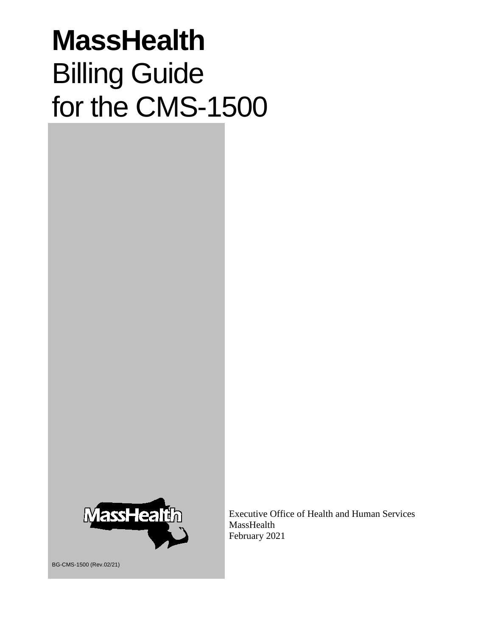# **MassHealth** Billing Guide for the CMS-1500



Executive Office of Health and Human Services MassHealth February 2021

BG-CMS-1500 (Rev.02/21)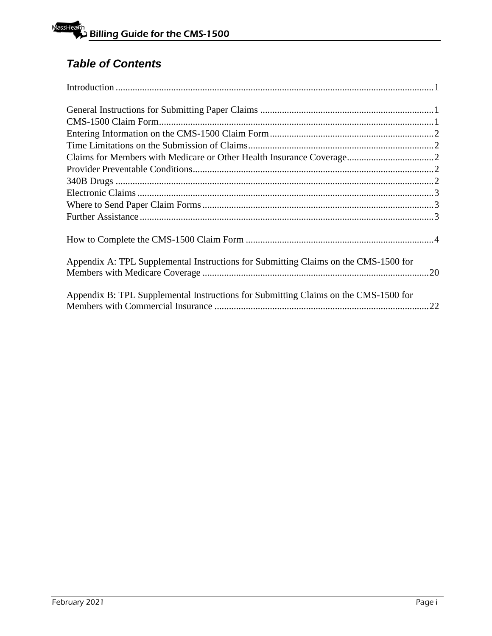# *Table of Contents*

| Appendix A: TPL Supplemental Instructions for Submitting Claims on the CMS-1500 for |  |
|-------------------------------------------------------------------------------------|--|
| Appendix B: TPL Supplemental Instructions for Submitting Claims on the CMS-1500 for |  |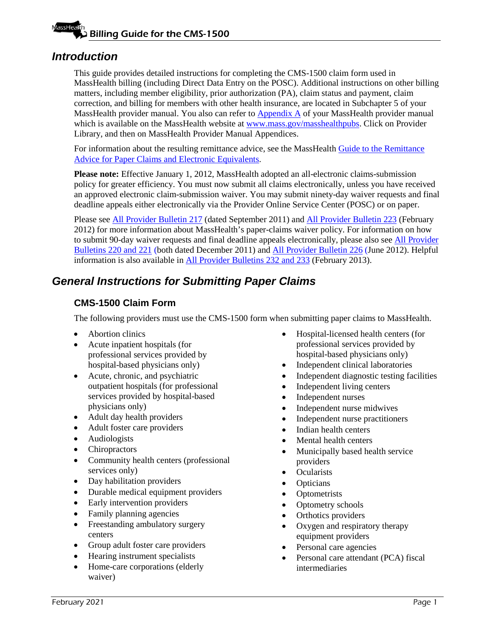### <span id="page-2-0"></span>*Introduction*

This guide provides detailed instructions for completing the CMS-1500 claim form used in MassHealth billing (including Direct Data Entry on the POSC). Additional instructions on other billing matters, including member eligibility, prior authorization (PA), claim status and payment, claim correction, and billing for members with other health insurance, are located in Subchapter 5 of your MassHealth provider manual. You also can refer to [Appendix A](https://www.mass.gov/guides/masshealth-all-provider-manual-appendices) of your MassHealth provider manual which is available on the MassHealth website at [www.mass.gov/masshealthpubs.](http://www.mass.gov/masshealthpubs) Click on Provider Library, and then on MassHealth Provider Manual Appendices.

For information about the resulting remittance advice, see the MassHealth [Guide to the Remittance](http://www.mass.gov/eohhs/docs/masshealth/provlibrary/newmmis-remittanceadvice.pdf)  [Advice for Paper Claims and Electronic Equivalents.](http://www.mass.gov/eohhs/docs/masshealth/provlibrary/newmmis-remittanceadvice.pdf)

Please note: Effective January 1, 2012, MassHealth adopted an all-electronic claims-submission policy for greater efficiency. You must now submit all claims electronically, unless you have received an approved electronic claim-submission waiver. You may submit ninety-day waiver requests and final deadline appeals either electronically via the Provider Online Service Center (POSC) or on paper.

Please see [All Provider Bulletin 217](https://www.mass.gov/lists/all-provider-bulletins) (dated September 2011) an[d All Provider Bulletin 223](https://www.mass.gov/lists/all-provider-bulletins) (February 2012) for more information about MassHealth's paper-claims waiver policy. For information on how to submit 90-day waiver requests and final deadline appeals electronically, please also see [All Provider](https://www.mass.gov/lists/all-provider-bulletins)  [Bulletins](https://www.mass.gov/lists/all-provider-bulletins) 220 and 221 (both dated December 2011) and [All Provider Bulletin 226](https://www.mass.gov/lists/all-provider-bulletins) (June 2012). Helpful information is also available in [All Provider Bulletins 232 and 233](https://www.mass.gov/lists/all-provider-bulletins) (February 2013).

# <span id="page-2-2"></span><span id="page-2-1"></span>*General Instructions for Submitting Paper Claims*

### **CMS-1500 Claim Form**

The following providers must use the CMS-1500 form when submitting paper claims to MassHealth.

- Abortion clinics
- Acute inpatient hospitals (for professional services provided by hospital-based physicians only)
- Acute, chronic, and psychiatric outpatient hospitals (for professional services provided by hospital-based physicians only)
- Adult day health providers
- Adult foster care providers
- Audiologists
- Chiropractors
- Community health centers (professional services only)
- Day habilitation providers
- Durable medical equipment providers
- Early intervention providers
- Family planning agencies
- Freestanding ambulatory surgery centers
- Group adult foster care providers
- Hearing instrument specialists
- Home-care corporations (elderly waiver)
- Hospital-licensed health centers (for professional services provided by hospital-based physicians only)
- Independent clinical laboratories
- Independent diagnostic testing facilities
- Independent living centers
- Independent nurses
- Independent nurse midwives
- Independent nurse practitioners
- Indian health centers
- Mental health centers
- Municipally based health service providers
- Ocularists
- **Opticians**
- Optometrists
- Optometry schools
- Orthotics providers
- Oxygen and respiratory therapy equipment providers
- Personal care agencies
- Personal care attendant (PCA) fiscal intermediaries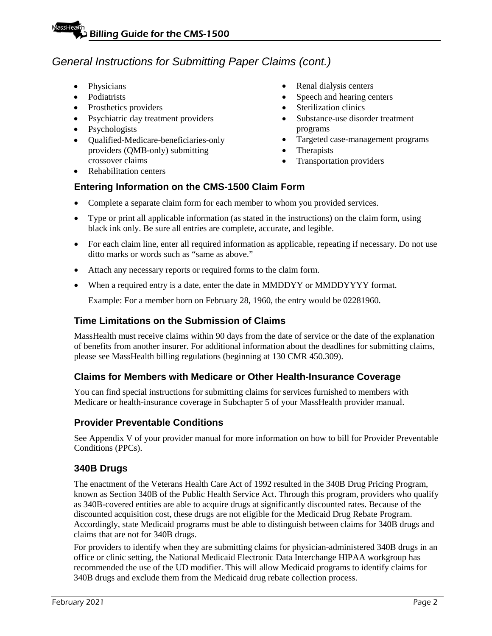# *General Instructions for Submitting Paper Claims (cont.)*

- Physicians
- Podiatrists
- Prosthetics providers
- Psychiatric day treatment providers
- Psychologists
- Qualified-Medicare-beneficiaries-only providers (QMB-only) submitting crossover claims
- Rehabilitation centers
- Renal dialysis centers
- Speech and hearing centers
- Sterilization clinics
- Substance-use disorder treatment programs
- Targeted case-management programs
- Therapists
- Transportation providers

# <span id="page-3-0"></span>**Entering Information on the CMS-1500 Claim Form**

- Complete a separate claim form for each member to whom you provided services.
- Type or print all applicable information (as stated in the instructions) on the claim form, using black ink only. Be sure all entries are complete, accurate, and legible.
- For each claim line, enter all required information as applicable, repeating if necessary. Do not use ditto marks or words such as "same as above."
- Attach any necessary reports or required forms to the claim form.
- When a required entry is a date, enter the date in MMDDYY or MMDDYYYY format.

Example: For a member born on February 28, 1960, the entry would be 02281960.

### <span id="page-3-1"></span>**Time Limitations on the Submission of Claims**

MassHealth must receive claims within 90 days from the date of service or the date of the explanation of benefits from another insurer. For additional information about the deadlines for submitting claims, please see MassHealth billing regulations (beginning at 130 CMR 450.309).

### <span id="page-3-2"></span>**Claims for Members with Medicare or Other Health-Insurance Coverage**

You can find special instructions for submitting claims for services furnished to members with Medicare or health-insurance coverage in Subchapter 5 of your MassHealth provider manual.

### <span id="page-3-3"></span>**Provider Preventable Conditions**

See Appendix V of your provider manual for more information on how to bill for Provider Preventable Conditions (PPCs).

### <span id="page-3-4"></span>**340B Drugs**

The enactment of the Veterans Health Care Act of 1992 resulted in the 340B Drug Pricing Program, known as Section 340B of the Public Health Service Act. Through this program, providers who qualify as 340B-covered entities are able to acquire drugs at significantly discounted rates. Because of the discounted acquisition cost, these drugs are not eligible for the Medicaid Drug Rebate Program. Accordingly, state Medicaid programs must be able to distinguish between claims for 340B drugs and claims that are not for 340B drugs.

For providers to identify when they are submitting claims for physician-administered 340B drugs in an office or clinic setting, the National Medicaid Electronic Data Interchange HIPAA workgroup has recommended the use of the UD modifier. This will allow Medicaid programs to identify claims for 340B drugs and exclude them from the Medicaid drug rebate collection process.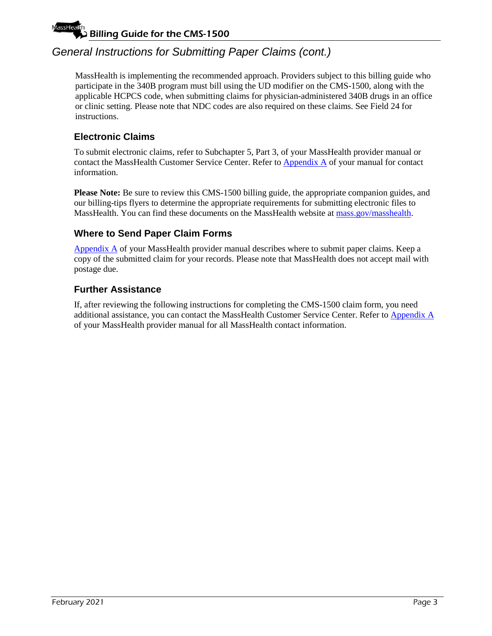# Billing Guide for the CMS-1500

# *General Instructions for Submitting Paper Claims (cont.)*

MassHealth is implementing the recommended approach. Providers subject to this billing guide who participate in the 340B program must bill using the UD modifier on the CMS-1500, along with the applicable HCPCS code, when submitting claims for physician-administered 340B drugs in an office or clinic setting. Please note that NDC codes are also required on these claims. See Field 24 for instructions.

### <span id="page-4-0"></span>**Electronic Claims**

To submit electronic claims, refer to Subchapter 5, Part 3, of your MassHealth provider manual or contact the MassHealth Customer Service Center. Refer t[o Appendix A](https://www.mass.gov/guides/masshealth-all-provider-manual-appendices) of your manual for contact information.

**Please Note:** Be sure to review this CMS-1500 billing guide, the appropriate companion guides, and our billing-tips flyers to determine the appropriate requirements for submitting electronic files to MassHealth. You can find these documents on the MassHealth website at [mass.gov/masshealth.](http://www.mass.gov/masshealth)

### <span id="page-4-1"></span>**Where to Send Paper Claim Forms**

[Appendix A](https://www.mass.gov/guides/masshealth-all-provider-manual-appendices) of your MassHealth provider manual describes where to submit paper claims. Keep a copy of the submitted claim for your records. Please note that MassHealth does not accept mail with postage due.

### <span id="page-4-2"></span>**Further Assistance**

If, after reviewing the following instructions for completing the CMS-1500 claim form, you need additional assistance, you can contact the MassHealth Customer Service Center. Refer to [Appendix A](https://www.mass.gov/guides/masshealth-all-provider-manual-appendices) of your MassHealth provider manual for all MassHealth contact information.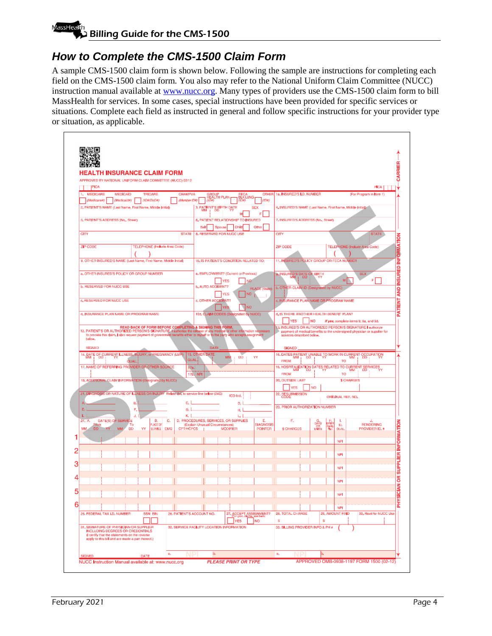# Billing Guide for the CMS-1500

# <span id="page-5-0"></span>*How to Complete the CMS-1500 Claim Form*

A sample CMS-1500 claim form is shown below. Following the sample are instructions for completing each field on the CMS-1500 claim form. You also may refer to the National Uniform Claim Committee (NUCC) instruction manual available at [www.nucc.org.](file://ehs-fp-bos-009/MCrystal$/ICD-10%20and%20Jon%20Romano/Billing%20Guides/BG-CMS-1500/Master/www.nucc.org) Many types of providers use the CMS-1500 claim form to bill MassHealth for services. In some cases, special instructions have been provided for specific services or situations. Complete each field as instructed in general and follow specific instructions for your provider type or situation, as applicable.

| LTH INSURANCE CLAIM FORM                                                                                                                                                         |                                           |                                            |                      |                  |                                                     |                                                           |                |             |                    |                                                                          |                                    |
|----------------------------------------------------------------------------------------------------------------------------------------------------------------------------------|-------------------------------------------|--------------------------------------------|----------------------|------------------|-----------------------------------------------------|-----------------------------------------------------------|----------------|-------------|--------------------|--------------------------------------------------------------------------|------------------------------------|
| ROVED BY NATIONAL UNIFORM CLAIM COMMITTEE (NUCC) 02/12                                                                                                                           |                                           |                                            |                      |                  |                                                     |                                                           |                |             |                    |                                                                          |                                    |
| IPICA                                                                                                                                                                            |                                           |                                            |                      |                  |                                                     |                                                           |                |             |                    |                                                                          | <b>PÍCA</b>                        |
| <b>MEDICARE</b><br><b>MEDICAID</b><br>TRICARE<br>١.<br>(Medicare#)<br>(Madicaid#)<br>(IDMDoDil)                                                                                  | <b>CHAMPVA</b><br>(Mamber IDI)            |                                            | GROUP<br>HEALTH PLAN | EECA<br>BLK LUNG | <b>OTHER</b><br>$(1D\theta)$                        | 1a, INSURED'S LD, NUMBER                                  |                |             |                    | (For Program in Item 1)                                                  |                                    |
| 2, PATIENT'S NAME (Last Name, First Name, Middle Initial)                                                                                                                        |                                           | 3. PATIENT'S BIRTH DATE                    |                      |                  | <b>SEX</b>                                          | 4. INSURED'S NAME (Last Name, First Name, Middle Initial) |                |             |                    |                                                                          |                                    |
|                                                                                                                                                                                  |                                           |                                            |                      |                  | F                                                   |                                                           |                |             |                    |                                                                          |                                    |
| 5, PATJENT'S ADDRESS (No., Street)                                                                                                                                               |                                           | 6, PATIENT RELATIONSHIP TO INSURED<br>Self |                      |                  | Other                                               | 7. INSURED'S ADDRESS (No., Street)                        |                |             |                    |                                                                          |                                    |
| CITY                                                                                                                                                                             | <b>STATE</b>                              | 8. RESERVED FOR NUCC USE                   | Spouse               | Child            |                                                     | CITY                                                      |                |             |                    |                                                                          | <b>STATE</b>                       |
|                                                                                                                                                                                  |                                           |                                            |                      |                  |                                                     |                                                           |                |             |                    |                                                                          |                                    |
| ZIP CODE<br>TELEPHONE (Include Area Code)                                                                                                                                        |                                           |                                            |                      |                  |                                                     | ZIP CODE                                                  |                |             |                    | TELEPHONE (Indude Area Code)                                             |                                    |
| 9. OTHER INSURED'S NAME (Last Name, First Name, Middle Initial)                                                                                                                  |                                           | 10. IS PATIENT'S CONDITION RELATED TO:     |                      |                  |                                                     | 11. INSURED'S POLICY GROUP OR FECA NUMBER                 |                |             |                    |                                                                          |                                    |
|                                                                                                                                                                                  |                                           |                                            |                      |                  |                                                     |                                                           |                |             |                    |                                                                          |                                    |
| a, OTHER INSURED'S POLICY OR GROUP NUMBER                                                                                                                                        |                                           | a. EMPLOYMENT? (Current or Previous)       |                      |                  |                                                     | a, INSURED'S DATE OF BIRTH                                |                |             |                    | <b>SEX</b>                                                               |                                    |
| b. RESERVED FOR NUCC USE                                                                                                                                                         |                                           | b, AUTO ACCIDENT?                          | YES                  |                  | NG                                                  |                                                           |                |             | M                  |                                                                          | F.                                 |
|                                                                                                                                                                                  |                                           |                                            | YES                  |                  | PLACE (State)<br>NO                                 | b. OTHER CLAIM ID (Designated by NUCC)                    |                |             |                    |                                                                          |                                    |
| c, RESERVED FOR NUCC USE                                                                                                                                                         |                                           | c, OTHER ACCIDENT?                         |                      |                  |                                                     | : INSURANCE PLAN NAME OR PROGRAM NAME                     |                |             |                    |                                                                          |                                    |
|                                                                                                                                                                                  |                                           |                                            |                      |                  | NO                                                  |                                                           |                |             |                    |                                                                          |                                    |
| d, INSURANCE PLAN NAME OR PROGRAM NAME                                                                                                                                           |                                           | 10d, CLAIM CODES (Designated by NUCC)      |                      |                  |                                                     | d, IS THERE ANOTHER HEALTH BENEFIT PLAN?<br>YES           | <b>NO</b>      |             |                    |                                                                          |                                    |
| READ BACK OF FORM BEFORE COMPLETING & SIGNING THIS FORM.<br>12. PATIENT'S OR AUTHORIZED PERSON'S SIGNATURE 4 authorize the release of any medical or other information necessary |                                           |                                            |                      |                  |                                                     | 3. INSURED'S OR AUTHORIZED PERSON'S SIGNATURE I authorize |                |             |                    | If yes, complete hems 9, 9a, and 9d.                                     |                                    |
| to process this claim. I also request payment of government benefits either to myself or to the party who accepts assignment                                                     |                                           |                                            |                      |                  |                                                     | services described below.                                 |                |             |                    | payment of medical benefits to the undersigned physician or supplier for |                                    |
| below.                                                                                                                                                                           |                                           |                                            |                      |                  |                                                     |                                                           |                |             |                    |                                                                          |                                    |
| SIGNED                                                                                                                                                                           |                                           | DATE<br>15. OTHER DATE                     |                      |                  |                                                     | SIGNED<br>16. DATES PATIENT UNABLE TO WORK IN CURRENT     |                |             |                    |                                                                          | CCCUPATION                         |
| 14. DATE OF CURRENT LLNESS, INJURY, or PREGNANCY (LIVP)                                                                                                                          | QUAL.                                     |                                            | MM                   | <b>DO</b>        | YY                                                  | <b>FROM</b>                                               |                |             | ΤÖ                 |                                                                          |                                    |
| 17. NAME OF REFERRING PROVIDER OR OTHER SOURCE                                                                                                                                   | 17a.                                      |                                            |                      |                  |                                                     | 18. HOSPITALIZATION DATES RELATED TO CURRENT SERVICES     |                |             |                    |                                                                          |                                    |
| 19, ADDITIONAL CLAIM INFORMATION (Dasignated by NUCC).                                                                                                                           | 17b. NPI                                  |                                            |                      |                  |                                                     | <b>FROM</b><br>20, OUTSIDE LAB?                           |                |             | та                 | <b>\$ CHARGES</b>                                                        |                                    |
|                                                                                                                                                                                  |                                           |                                            |                      |                  |                                                     | <b>YES</b>                                                | NO <sub></sub> |             |                    |                                                                          |                                    |
| 21. DIAGNOSIS OR NATURE OF ILLNESS OR INJURY Relate A-L to service line below (24E)                                                                                              |                                           |                                            |                      | ICD Ind.         |                                                     | 22. BESUBMISSION                                          |                |             | ORIGINAL REF. NO.  |                                                                          |                                    |
| B.                                                                                                                                                                               | c.                                        |                                            |                      | D.               |                                                     |                                                           |                |             |                    |                                                                          |                                    |
| F,<br>Ε                                                                                                                                                                          | G,                                        |                                            |                      | н.               |                                                     | 23. PRIOR AUTHORIZATION NUMBER                            |                |             |                    |                                                                          |                                    |
| a.<br>B.<br>c.<br>DATE(S) OF SERVICE<br>24. A.                                                                                                                                   | κ.                                        | D. PROCEDURES, SERVICES, OR SUPPLIES       |                      | ш                | Е.                                                  | F.                                                        |                | DAYS<br>OR  | ı.                 |                                                                          |                                    |
| <b>ALACE OF</b><br><b>TOCO</b><br>Тα<br>MM<br><b>DD</b><br><b>DD</b><br>SERVICE EMG<br><b>MM</b><br>٧Y                                                                           | <b>CPT/HCPCS</b>                          | (Explain Unusual Circumstances)            | <b>MODIFIER</b>      |                  | DIAGNOSIS<br><b>POINTER</b>                         | <b>S CHARGES</b>                                          |                | <b>UNTS</b> | HD.<br><b>OUAL</b> |                                                                          | <b>RENDERING</b><br>PROVIDER ID. # |
|                                                                                                                                                                                  |                                           |                                            |                      |                  |                                                     |                                                           |                |             |                    |                                                                          |                                    |
|                                                                                                                                                                                  |                                           |                                            |                      |                  |                                                     |                                                           |                |             | NPI                |                                                                          |                                    |
|                                                                                                                                                                                  |                                           |                                            |                      |                  |                                                     |                                                           |                |             | NPI                |                                                                          |                                    |
|                                                                                                                                                                                  |                                           |                                            |                      |                  |                                                     |                                                           |                |             |                    |                                                                          |                                    |
|                                                                                                                                                                                  |                                           |                                            |                      |                  |                                                     |                                                           |                |             | NPI                |                                                                          |                                    |
|                                                                                                                                                                                  |                                           |                                            |                      |                  |                                                     |                                                           |                |             | NPI                |                                                                          |                                    |
|                                                                                                                                                                                  |                                           |                                            |                      |                  |                                                     |                                                           |                |             |                    |                                                                          |                                    |
|                                                                                                                                                                                  |                                           |                                            |                      |                  |                                                     |                                                           |                |             | NPI                |                                                                          |                                    |
|                                                                                                                                                                                  |                                           |                                            |                      |                  |                                                     |                                                           |                |             | NPI                |                                                                          |                                    |
| 25. FEDERAL TAX LD, NUMBER<br><b>SSN EIN</b>                                                                                                                                     | 28. PATIENT'S ACCOUNT NO.                 |                                            |                      |                  | 27. ACCEPT ASSIGNMENT?<br>For cove claims, see back | 28, TOTAL CHARGE                                          |                |             | 29, AMOUNT PAID    |                                                                          | 30, Rsvd for NUCC Use              |
|                                                                                                                                                                                  |                                           |                                            |                      | <b>YES</b>       | <b>INO</b>                                          | s                                                         |                | s           |                    |                                                                          |                                    |
| 31, SIGNATURE OF PHYSICIAN OR SUPPLIER<br>INCLUDING DEGREES OR CREDENTIALS<br>(I certify that the statements on the reverse<br>apply to this bill and are made a part thereof.)  | 32, SERVICE FACILITY LOCATION INFORMATION |                                            |                      |                  |                                                     | 33. BILLING PROVIDER INFO & PH #                          |                |             |                    |                                                                          |                                    |
|                                                                                                                                                                                  |                                           |                                            |                      |                  |                                                     |                                                           |                |             |                    |                                                                          |                                    |
| 8,<br>SIGNED<br>DATE                                                                                                                                                             |                                           | b,                                         |                      |                  |                                                     | 8,                                                        |                |             |                    |                                                                          |                                    |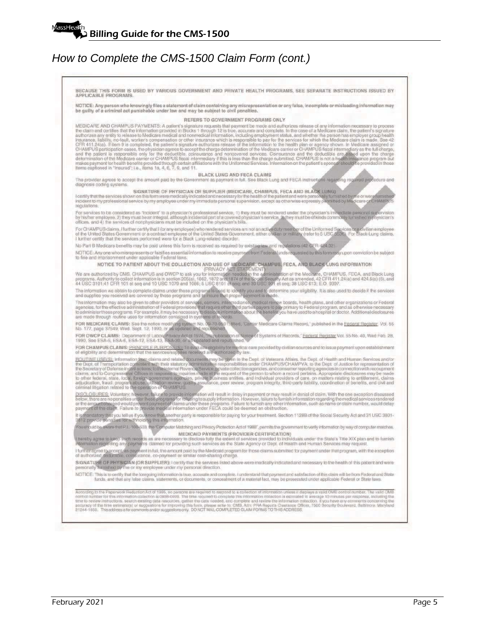BECAUSE THIS FORM IS USED BY VARIOUS GOVERNMENT AND PRIVATE HEALTH PROGRAMS, SEE SEPARATE INSTRUCTIONS ISSUED BY<br>APPLICABLE PROGRAMS. NOTICE: Any person who knowingly files a statement of claim containing any misrepresentation or any false, incomplete or misleading information may<br>be guilty of a criminal act punishable under law and may be subject to civ REFERS TO GOVERNMENT PROGRAMS ONLY **IREERS TO GOVERNMENT PROGRAMS ONLY<br>
REFERS TO GOVERNMENT PROGRAMS ONLY<br>
REFERS TO GOVERNMENT PROGRAMS ONLY<br>
the claim and certifies that the information provided in Blocks 1 through 12 is true, accurate and camplete. In t** The provider agrees to accept the amount paid by the Government as payment in full. See Black Lung and FECA instructions regarding required procedure and diagnosis coding systems. SIGNATURE OF PHYSICIAN OR SUPPLIER (MEDICARE, CHAMPUS, FECA AND BLACK LUNG) I certify that the services show I certify that the services shown on this form were medically indicated and necessary for the health of the patient and were personally furnished by me or were furnished<br>incident to my professional service by my employee u regulations. For services to be considered as "incident" to a physician's professional service, 1) they must be rendered under the physician's immediate personal supervision<br>by his/her employes, 2) they must be an infegral, although in For CHAMPUS claims, I further certify that I (or any employee) who rendered services am not an active duty member of the Uniformed Spoices or a civilian employee of the United States Government or a contract employee of th No Part B Medicare benefits may be paid unless this form is received as required by existing law and regulations (42 GFR 424.32) NOTICE: Any one who misrepresents or falsifies essential information to receive payment from Federal funds requested by this form may upon conviction be subject to fine and imprisonment under applicable Federal laws.<br>
No fine and imprisonment under applicable Federal laws.<br>
No are authorized by CMS, CHAMPUS, The COLLECTION AND USE OF MEDICAPE, CHAMPUS, FECA, AND BLACK LUNG INFORMA to fine and imprisonment under applicable Federal laws. FOR CHAMPUS CLAIMS: PRINCIPLE PURPOSE(S): To evaluate eligibility for medical care provided by civilian sources and to issue payment upon establishment<br>of eligibility and determination that the services/supplies received a of eligibility and determination that the services/supplies received are authorized by law.<br>HOUTINE USE(S), information from claims and related of ocuments may be given to the Dept. of Veterans Affairs, the Dept. of Health DISCLOSURES, Voluntary, hawever, failure to provide information will result in delay in payment or may result in denial of claim. With the one exception discussed<br>below, there are no penalties under these programs for refu It is mandatory to<br>3812 provide pe mandatory that you tell us if you know that another party is responsible for paying for your freatment. Section 1128B of the Social Security Act and 31 USC 3801-<br>2 provide penalties for withholding this information. You should be aware that P.L. 100-503, the Computer Matching and Privacy Protection Act of 1988", permits the government to verify information by way of computer matches. MEDICAID PAYMENTS (PROVIDER CERTIFICATION) hereby agree to keep such records as are necessary to disclose fully the extent of services provided to individuals under the State's Title XIX plan and to furnish<br>Information regarding any payments claimed for providing s I further agree to accept, as payment in full; the amount paid by the Medicaid program for those claims submitted for payment under that program, with the exception<br>of authorized deductible, coinsurance, co-payment or simi SIGNATURE OF PHYSICIAN (OR SUPPLIER): I certify that the services listed above were medically indicated and necessary to the health of this patient and were furnished by the or my employee under my personal direction. NOTICE: This is to certify that the foregoing information is true, accurate and complete. I understand that payment and satisfaction of this claim will be from Federal and State<br>funds, and that any false claims, statements According to the Paperwork Reduction Act of 1995, no persons are required to respond to a collection of information unless it displays a valid OMB control number. The valid OMB<br>control number for this information collectio common unino mericular systems of the association is over-warm in the required to complete and review the information control time to review instructions, search existing data resources, galler the data needed, and complet ation collection. If you have any comments concerning the<br>nce Officer, 7500 Security Boulevard, Baltimore. Maryland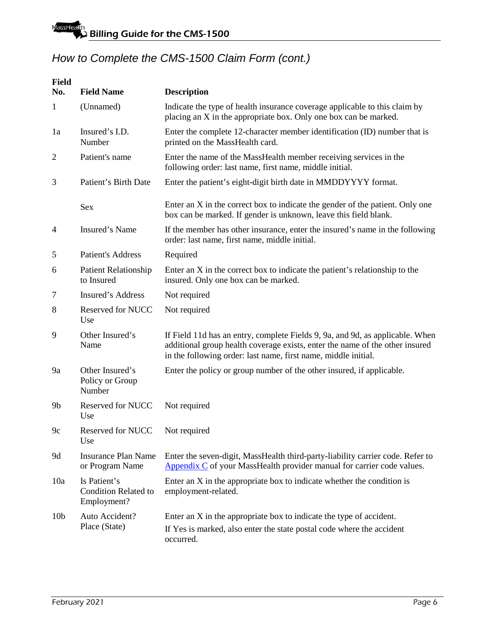| <b>Field</b><br>No. | <b>Field Name</b>                                          | <b>Description</b>                                                                                                                                                                                                              |
|---------------------|------------------------------------------------------------|---------------------------------------------------------------------------------------------------------------------------------------------------------------------------------------------------------------------------------|
| $\mathbf{1}$        | (Unnamed)                                                  | Indicate the type of health insurance coverage applicable to this claim by<br>placing an X in the appropriate box. Only one box can be marked.                                                                                  |
| 1a                  | Insured's I.D.<br>Number                                   | Enter the complete 12-character member identification (ID) number that is<br>printed on the MassHealth card.                                                                                                                    |
| $\overline{c}$      | Patient's name                                             | Enter the name of the MassHealth member receiving services in the<br>following order: last name, first name, middle initial.                                                                                                    |
| 3                   | Patient's Birth Date                                       | Enter the patient's eight-digit birth date in MMDDYYYY format.                                                                                                                                                                  |
|                     | Sex                                                        | Enter an X in the correct box to indicate the gender of the patient. Only one<br>box can be marked. If gender is unknown, leave this field blank.                                                                               |
| $\overline{4}$      | Insured's Name                                             | If the member has other insurance, enter the insured's name in the following<br>order: last name, first name, middle initial.                                                                                                   |
| 5                   | <b>Patient's Address</b>                                   | Required                                                                                                                                                                                                                        |
| 6                   | <b>Patient Relationship</b><br>to Insured                  | Enter an X in the correct box to indicate the patient's relationship to the<br>insured. Only one box can be marked.                                                                                                             |
| 7                   | Insured's Address                                          | Not required                                                                                                                                                                                                                    |
| 8                   | <b>Reserved for NUCC</b><br>Use                            | Not required                                                                                                                                                                                                                    |
| 9                   | Other Insured's<br>Name                                    | If Field 11d has an entry, complete Fields 9, 9a, and 9d, as applicable. When<br>additional group health coverage exists, enter the name of the other insured<br>in the following order: last name, first name, middle initial. |
| 9a                  | Other Insured's<br>Policy or Group<br>Number               | Enter the policy or group number of the other insured, if applicable.                                                                                                                                                           |
| 9 <sub>b</sub>      | Reserved for NUCC<br>Use                                   | Not required                                                                                                                                                                                                                    |
| 9c                  | Reserved for NUCC<br>Use                                   | Not required                                                                                                                                                                                                                    |
| 9d                  | <b>Insurance Plan Name</b><br>or Program Name              | Enter the seven-digit, MassHealth third-party-liability carrier code. Refer to<br>$\Delta$ ppendix $C$ of your MassHealth provider manual for carrier code values.                                                              |
| 10a                 | Is Patient's<br><b>Condition Related to</b><br>Employment? | Enter an X in the appropriate box to indicate whether the condition is<br>employment-related.                                                                                                                                   |
| 10 <sub>b</sub>     | Auto Accident?<br>Place (State)                            | Enter an X in the appropriate box to indicate the type of accident.<br>If Yes is marked, also enter the state postal code where the accident<br>occurred.                                                                       |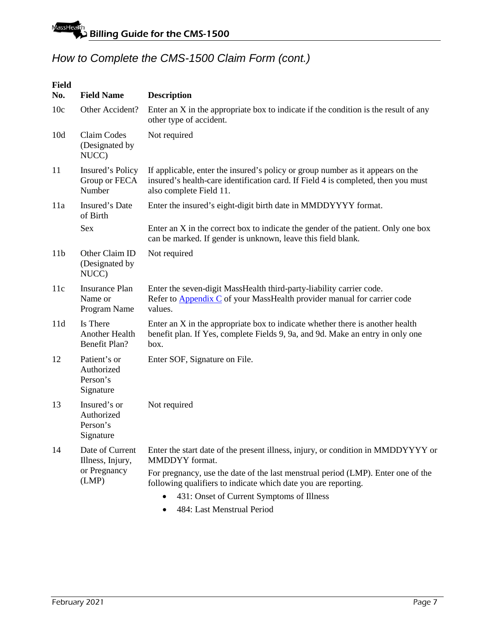| <b>Field</b><br>No. | <b>Field Name</b>                                   | <b>Description</b>                                                                                                                                                                             |
|---------------------|-----------------------------------------------------|------------------------------------------------------------------------------------------------------------------------------------------------------------------------------------------------|
| 10c                 | Other Accident?                                     | Enter an $X$ in the appropriate box to indicate if the condition is the result of any<br>other type of accident.                                                                               |
| 10d                 | Claim Codes<br>(Designated by<br>NUCC)              | Not required                                                                                                                                                                                   |
| 11                  | Insured's Policy<br>Group or FECA<br>Number         | If applicable, enter the insured's policy or group number as it appears on the<br>insured's health-care identification card. If Field 4 is completed, then you must<br>also complete Field 11. |
| 11a                 | Insured's Date<br>of Birth                          | Enter the insured's eight-digit birth date in MMDDYYYY format.                                                                                                                                 |
|                     | Sex                                                 | Enter an X in the correct box to indicate the gender of the patient. Only one box<br>can be marked. If gender is unknown, leave this field blank.                                              |
| 11 <sub>b</sub>     | Other Claim ID<br>(Designated by<br>NUCC)           | Not required                                                                                                                                                                                   |
| 11c                 | <b>Insurance Plan</b><br>Name or<br>Program Name    | Enter the seven-digit MassHealth third-party-liability carrier code.<br>Refer to <b>Appendix C</b> of your MassHealth provider manual for carrier code<br>values.                              |
| 11d                 | Is There<br>Another Health<br>Benefit Plan?         | Enter an X in the appropriate box to indicate whether there is another health<br>benefit plan. If Yes, complete Fields 9, 9a, and 9d. Make an entry in only one<br>box.                        |
| 12                  | Patient's or<br>Authorized<br>Person's<br>Signature | Enter SOF, Signature on File.                                                                                                                                                                  |
| 13                  | Insured's or<br>Authorized<br>Person's<br>Signature | Not required                                                                                                                                                                                   |
| 14                  | Date of Current<br>Illness, Injury,                 | Enter the start date of the present illness, injury, or condition in MMDDYYYY or<br>MMDDYY format.                                                                                             |
|                     | or Pregnancy<br>(LMP)                               | For pregnancy, use the date of the last menstrual period (LMP). Enter one of the<br>following qualifiers to indicate which date you are reporting.                                             |
|                     |                                                     | 431: Onset of Current Symptoms of Illness                                                                                                                                                      |
|                     |                                                     | 484: Last Menstrual Period                                                                                                                                                                     |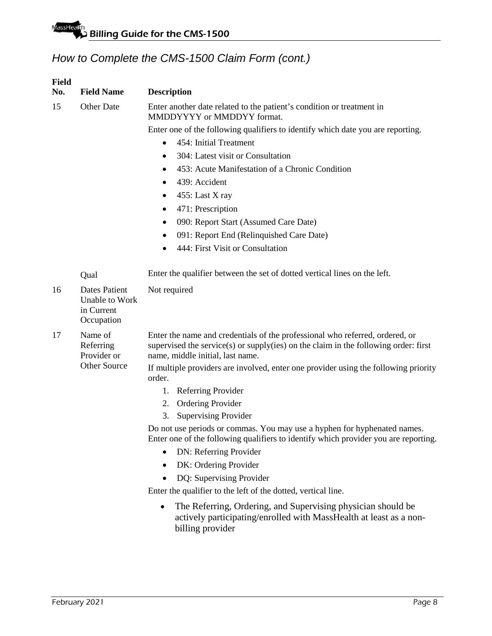| <b>Field</b><br>No. | <b>Field Name</b>                                                  | <b>Description</b>                                                                                                                                                                                      |  |  |  |  |  |  |  |
|---------------------|--------------------------------------------------------------------|---------------------------------------------------------------------------------------------------------------------------------------------------------------------------------------------------------|--|--|--|--|--|--|--|
| 15                  | <b>Other Date</b>                                                  | Enter another date related to the patient's condition or treatment in<br>MMDDYYYY or MMDDYY format.                                                                                                     |  |  |  |  |  |  |  |
|                     |                                                                    | Enter one of the following qualifiers to identify which date you are reporting.                                                                                                                         |  |  |  |  |  |  |  |
|                     |                                                                    | 454: Initial Treatment                                                                                                                                                                                  |  |  |  |  |  |  |  |
|                     |                                                                    | 304: Latest visit or Consultation<br>$\bullet$                                                                                                                                                          |  |  |  |  |  |  |  |
|                     |                                                                    | 453: Acute Manifestation of a Chronic Condition<br>$\bullet$                                                                                                                                            |  |  |  |  |  |  |  |
|                     |                                                                    | 439: Accident                                                                                                                                                                                           |  |  |  |  |  |  |  |
|                     |                                                                    | 455: Last X ray                                                                                                                                                                                         |  |  |  |  |  |  |  |
|                     |                                                                    | 471: Prescription<br>٠                                                                                                                                                                                  |  |  |  |  |  |  |  |
|                     |                                                                    | 090: Report Start (Assumed Care Date)<br>٠                                                                                                                                                              |  |  |  |  |  |  |  |
|                     |                                                                    | 091: Report End (Relinquished Care Date)                                                                                                                                                                |  |  |  |  |  |  |  |
|                     |                                                                    | 444: First Visit or Consultation                                                                                                                                                                        |  |  |  |  |  |  |  |
|                     | Qual                                                               | Enter the qualifier between the set of dotted vertical lines on the left.                                                                                                                               |  |  |  |  |  |  |  |
| 16                  | <b>Dates Patient</b><br>Unable to Work<br>in Current<br>Occupation | Not required                                                                                                                                                                                            |  |  |  |  |  |  |  |
| 17                  | Name of<br>Referring<br>Provider or                                | Enter the name and credentials of the professional who referred, ordered, or<br>supervised the service(s) or supply(ies) on the claim in the following order: first<br>name, middle initial, last name. |  |  |  |  |  |  |  |
|                     | <b>Other Source</b>                                                | If multiple providers are involved, enter one provider using the following priority<br>order.                                                                                                           |  |  |  |  |  |  |  |
|                     |                                                                    | Referring Provider<br>1.                                                                                                                                                                                |  |  |  |  |  |  |  |
|                     |                                                                    | <b>Ordering Provider</b><br>2.                                                                                                                                                                          |  |  |  |  |  |  |  |
|                     |                                                                    | <b>Supervising Provider</b><br>3.                                                                                                                                                                       |  |  |  |  |  |  |  |
|                     |                                                                    | Do not use periods or commas. You may use a hyphen for hyphenated names.<br>Enter one of the following qualifiers to identify which provider you are reporting.                                         |  |  |  |  |  |  |  |
|                     |                                                                    | DN: Referring Provider                                                                                                                                                                                  |  |  |  |  |  |  |  |
|                     |                                                                    | DK: Ordering Provider                                                                                                                                                                                   |  |  |  |  |  |  |  |
|                     |                                                                    | DQ: Supervising Provider                                                                                                                                                                                |  |  |  |  |  |  |  |
|                     |                                                                    | Enter the qualifier to the left of the dotted, vertical line.                                                                                                                                           |  |  |  |  |  |  |  |
|                     |                                                                    | The Referring, Ordering, and Supervising physician should be<br>$\bullet$<br>actively participating/enrolled with MassHealth at least as a non-<br>billing provider                                     |  |  |  |  |  |  |  |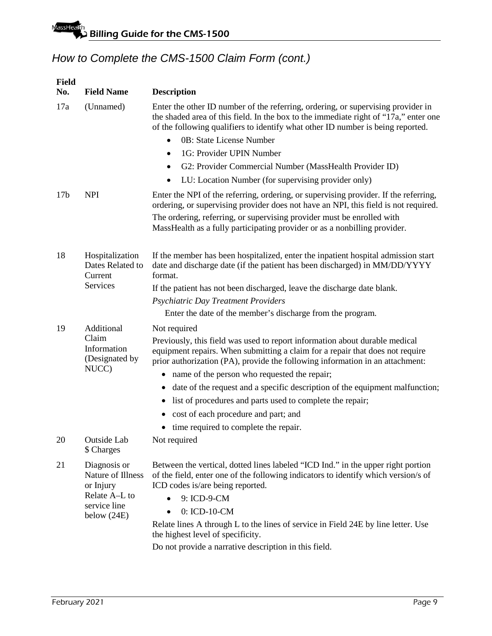| <b>Field</b><br>No. | <b>Field Name</b>                              | <b>Description</b>                                                                                                                                                                                                                                                                                                                                                                                                                                                |  |  |  |  |  |  |
|---------------------|------------------------------------------------|-------------------------------------------------------------------------------------------------------------------------------------------------------------------------------------------------------------------------------------------------------------------------------------------------------------------------------------------------------------------------------------------------------------------------------------------------------------------|--|--|--|--|--|--|
| 17a                 | (Unnamed)                                      | Enter the other ID number of the referring, ordering, or supervising provider in<br>the shaded area of this field. In the box to the immediate right of "17a," enter one<br>of the following qualifiers to identify what other ID number is being reported.<br>0B: State License Number<br>$\bullet$<br>1G: Provider UPIN Number<br>٠<br>G2: Provider Commercial Number (MassHealth Provider ID)<br>٠<br>LU: Location Number (for supervising provider only)<br>٠ |  |  |  |  |  |  |
| 17 <sub>b</sub>     | <b>NPI</b>                                     | Enter the NPI of the referring, ordering, or supervising provider. If the referring,<br>ordering, or supervising provider does not have an NPI, this field is not required.                                                                                                                                                                                                                                                                                       |  |  |  |  |  |  |
|                     |                                                | The ordering, referring, or supervising provider must be enrolled with<br>MassHealth as a fully participating provider or as a nonbilling provider.                                                                                                                                                                                                                                                                                                               |  |  |  |  |  |  |
| 18                  | Hospitalization<br>Dates Related to<br>Current | If the member has been hospitalized, enter the inpatient hospital admission start<br>date and discharge date (if the patient has been discharged) in MM/DD/YYYY<br>format.                                                                                                                                                                                                                                                                                        |  |  |  |  |  |  |
|                     | Services                                       | If the patient has not been discharged, leave the discharge date blank.                                                                                                                                                                                                                                                                                                                                                                                           |  |  |  |  |  |  |
|                     |                                                | Psychiatric Day Treatment Providers                                                                                                                                                                                                                                                                                                                                                                                                                               |  |  |  |  |  |  |
|                     |                                                | Enter the date of the member's discharge from the program.                                                                                                                                                                                                                                                                                                                                                                                                        |  |  |  |  |  |  |
| 19                  | Additional                                     | Not required                                                                                                                                                                                                                                                                                                                                                                                                                                                      |  |  |  |  |  |  |
|                     | Claim<br>Information<br>(Designated by         | Previously, this field was used to report information about durable medical<br>equipment repairs. When submitting a claim for a repair that does not require<br>prior authorization (PA), provide the following information in an attachment:                                                                                                                                                                                                                     |  |  |  |  |  |  |
|                     | NUCC)                                          | name of the person who requested the repair;<br>٠                                                                                                                                                                                                                                                                                                                                                                                                                 |  |  |  |  |  |  |
|                     |                                                | date of the request and a specific description of the equipment malfunction;<br>٠                                                                                                                                                                                                                                                                                                                                                                                 |  |  |  |  |  |  |
|                     |                                                | list of procedures and parts used to complete the repair;<br>$\bullet$                                                                                                                                                                                                                                                                                                                                                                                            |  |  |  |  |  |  |
|                     |                                                | cost of each procedure and part; and                                                                                                                                                                                                                                                                                                                                                                                                                              |  |  |  |  |  |  |
|                     |                                                | time required to complete the repair.                                                                                                                                                                                                                                                                                                                                                                                                                             |  |  |  |  |  |  |
| 20                  | Outside Lab<br>\$ Charges                      | Not required                                                                                                                                                                                                                                                                                                                                                                                                                                                      |  |  |  |  |  |  |
| 21                  | Diagnosis or<br>Nature of Illness<br>or Injury | Between the vertical, dotted lines labeled "ICD Ind." in the upper right portion<br>of the field, enter one of the following indicators to identify which version/s of<br>ICD codes is/are being reported.                                                                                                                                                                                                                                                        |  |  |  |  |  |  |
|                     | Relate A-L to<br>service line                  | 9: ICD-9-CM                                                                                                                                                                                                                                                                                                                                                                                                                                                       |  |  |  |  |  |  |
|                     | below $(24E)$                                  | 0: ICD-10-CM<br>٠                                                                                                                                                                                                                                                                                                                                                                                                                                                 |  |  |  |  |  |  |
|                     |                                                | Relate lines A through L to the lines of service in Field 24E by line letter. Use<br>the highest level of specificity.                                                                                                                                                                                                                                                                                                                                            |  |  |  |  |  |  |
|                     |                                                | Do not provide a narrative description in this field.                                                                                                                                                                                                                                                                                                                                                                                                             |  |  |  |  |  |  |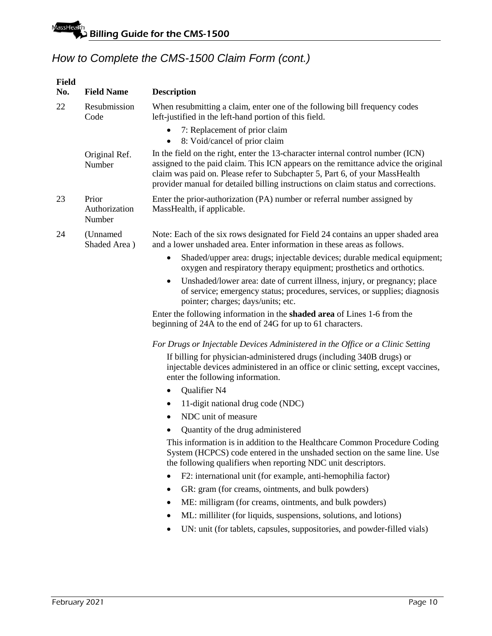| <b>Field</b><br>No. | <b>Field Name</b>                | <b>Description</b>                                                                                                                                                                                                                                                                                                                         |
|---------------------|----------------------------------|--------------------------------------------------------------------------------------------------------------------------------------------------------------------------------------------------------------------------------------------------------------------------------------------------------------------------------------------|
| 22                  | Resubmission<br>Code             | When resubmitting a claim, enter one of the following bill frequency codes<br>left-justified in the left-hand portion of this field.                                                                                                                                                                                                       |
|                     |                                  | 7: Replacement of prior claim<br>8: Void/cancel of prior claim<br>$\bullet$                                                                                                                                                                                                                                                                |
|                     | Original Ref.<br>Number          | In the field on the right, enter the 13-character internal control number (ICN)<br>assigned to the paid claim. This ICN appears on the remittance advice the original<br>claim was paid on. Please refer to Subchapter 5, Part 6, of your MassHealth<br>provider manual for detailed billing instructions on claim status and corrections. |
| 23                  | Prior<br>Authorization<br>Number | Enter the prior-authorization (PA) number or referral number assigned by<br>MassHealth, if applicable.                                                                                                                                                                                                                                     |
| 24                  | (Unnamed<br>Shaded Area)         | Note: Each of the six rows designated for Field 24 contains an upper shaded area<br>and a lower unshaded area. Enter information in these areas as follows.                                                                                                                                                                                |
|                     |                                  | Shaded/upper area: drugs; injectable devices; durable medical equipment;<br>$\bullet$<br>oxygen and respiratory therapy equipment; prosthetics and orthotics.                                                                                                                                                                              |
|                     |                                  | Unshaded/lower area: date of current illness, injury, or pregnancy; place<br>$\bullet$<br>of service; emergency status; procedures, services, or supplies; diagnosis<br>pointer; charges; days/units; etc.                                                                                                                                 |
|                     |                                  | Enter the following information in the shaded area of Lines 1-6 from the<br>beginning of 24A to the end of 24G for up to 61 characters.                                                                                                                                                                                                    |
|                     |                                  | For Drugs or Injectable Devices Administered in the Office or a Clinic Setting                                                                                                                                                                                                                                                             |
|                     |                                  | If billing for physician-administered drugs (including 340B drugs) or<br>injectable devices administered in an office or clinic setting, except vaccines,<br>enter the following information.                                                                                                                                              |
|                     |                                  | Qualifier N4<br>$\bullet$                                                                                                                                                                                                                                                                                                                  |
|                     |                                  | 11-digit national drug code (NDC)<br>$\bullet$                                                                                                                                                                                                                                                                                             |
|                     |                                  | NDC unit of measure                                                                                                                                                                                                                                                                                                                        |
|                     |                                  | Quantity of the drug administered<br>$\bullet$                                                                                                                                                                                                                                                                                             |
|                     |                                  | This information is in addition to the Healthcare Common Procedure Coding<br>System (HCPCS) code entered in the unshaded section on the same line. Use<br>the following qualifiers when reporting NDC unit descriptors.                                                                                                                    |
|                     |                                  | F2: international unit (for example, anti-hemophilia factor)                                                                                                                                                                                                                                                                               |
|                     |                                  | GR: gram (for creams, ointments, and bulk powders)                                                                                                                                                                                                                                                                                         |
|                     |                                  | ME: milligram (for creams, ointments, and bulk powders)<br>$\bullet$                                                                                                                                                                                                                                                                       |
|                     |                                  | ML: milliliter (for liquids, suspensions, solutions, and lotions)<br>$\bullet$                                                                                                                                                                                                                                                             |
|                     |                                  | UN: unit (for tablets, capsules, suppositories, and powder-filled vials)                                                                                                                                                                                                                                                                   |
|                     |                                  |                                                                                                                                                                                                                                                                                                                                            |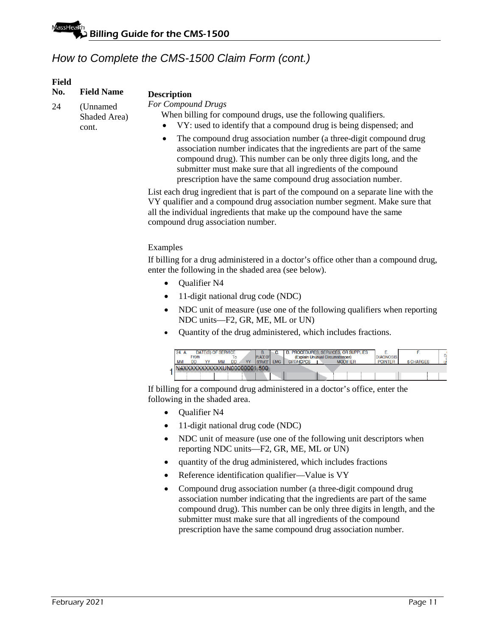#### **Field**

| No. | <b>Field Name</b> |  |
|-----|-------------------|--|
| 24  | (Unnamed)         |  |
|     | Shaded Area)      |  |
|     | cont.             |  |

#### **Description**

*For Compound Drugs*

When billing for compound drugs, use the following qualifiers.

- VY: used to identify that a compound drug is being dispensed; and
- The compound drug association number (a three-digit compound drug association number indicates that the ingredients are part of the same compound drug). This number can be only three digits long, and the submitter must make sure that all ingredients of the compound prescription have the same compound drug association number.

List each drug ingredient that is part of the compound on a separate line with the VY qualifier and a compound drug association number segment. Make sure that all the individual ingredients that make up the compound have the same compound drug association number.

### Examples

If billing for a drug administered in a doctor's office other than a compound drug, enter the following in the shaded area (see below).

- Qualifier N4
- 11-digit national drug code (NDC)
- NDC unit of measure (use one of the following qualifiers when reporting NDC units—F2, GR, ME, ML or UN)
- Quantity of the drug administered, which includes fractions.

| 24. |      | DATE(S) OF SERVICE |    |                             |                      |            |                  | D. PROCEDURES, SERVICES, OR SUPPLIES |                  |                  |    |
|-----|------|--------------------|----|-----------------------------|----------------------|------------|------------------|--------------------------------------|------------------|------------------|----|
|     | From |                    |    |                             | <b>PLACE OF</b>      |            |                  | (Explain Unusual Circumstances)      | <b>DIAGNOSIS</b> |                  | DJ |
| MM  | DD   | MМ                 | DD | <b>VV</b>                   | SERVICE <sup>1</sup> | <b>EMG</b> | <b>CPT/HCPCS</b> | <b>MODIFIER</b>                      | <b>POINTER</b>   | <b>S CHARGES</b> |    |
|     |      |                    |    | N4XXXXXXXXXXXUN00000001.500 |                      |            |                  |                                      |                  |                  |    |
|     |      |                    |    |                             |                      |            |                  |                                      |                  |                  |    |

If billing for a compound drug administered in a doctor's office, enter the following in the shaded area.

- Qualifier N4
- 11-digit national drug code (NDC)
- NDC unit of measure (use one of the following unit descriptors when reporting NDC units—F2, GR, ME, ML or UN)
- quantity of the drug administered, which includes fractions
- Reference identification qualifier—Value is VY
- Compound drug association number (a three-digit compound drug association number indicating that the ingredients are part of the same compound drug). This number can be only three digits in length, and the submitter must make sure that all ingredients of the compound prescription have the same compound drug association number.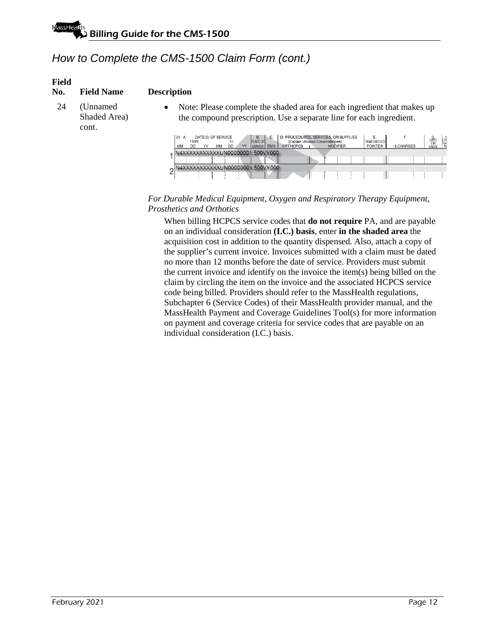#### **Field**

#### **No. Field Name Description**

- 24 (Unnamed Shaded Area) cont.
- Note: Please complete the shaded area for each ingredient that makes up the compound prescription. Use a separate line for each ingredient.

| 24. A.<br><b>MM</b> | From<br>DD | <b>DATE(S) OF SERVICE</b> | MМ | То<br><b>DD</b> | YY | В.<br><b>PLACE OF</b><br><b>ISERVICE</b> | <b>EMG</b> | D. PROCEDURES, SERVICES, OR SUPPLIES<br>(Explain Unusual Circumstances)<br><b>CPT/HCPCS</b> |  | <b>MODIFIER</b> | <b>DIAGNOSIS</b><br><b>POINTER</b> | <b>S CHARGES</b> | G.<br>DAYS<br>UNITS | Fan SH<br>Pan |
|---------------------|------------|---------------------------|----|-----------------|----|------------------------------------------|------------|---------------------------------------------------------------------------------------------|--|-----------------|------------------------------------|------------------|---------------------|---------------|
|                     |            |                           |    |                 |    | V4XXXXXXXXXXXUN00000001.500VY000         |            |                                                                                             |  |                 |                                    |                  |                     |               |
|                     |            |                           |    |                 |    | N4XXXXXXXXXXXUN00000001.500VY000         |            |                                                                                             |  |                 |                                    |                  |                     |               |

### *For Durable Medical Equipment, Oxygen and Respiratory Therapy Equipment, Prosthetics and Orthotics*

When billing HCPCS service codes that **do not require** PA, and are payable on an individual consideration **(I.C.) basis**, enter **in the shaded area** the acquisition cost in addition to the quantity dispensed. Also, attach a copy of the supplier's current invoice. Invoices submitted with a claim must be dated no more than 12 months before the date of service. Providers must submit the current invoice and identify on the invoice the item(s) being billed on the claim by circling the item on the invoice and the associated HCPCS service code being billed. Providers should refer to the MassHealth regulations, Subchapter 6 (Service Codes) of their MassHealth provider manual, and the MassHealth Payment and Coverage Guidelines Tool(s) for more information on payment and coverage criteria for service codes that are payable on an individual consideration (I.C.) basis.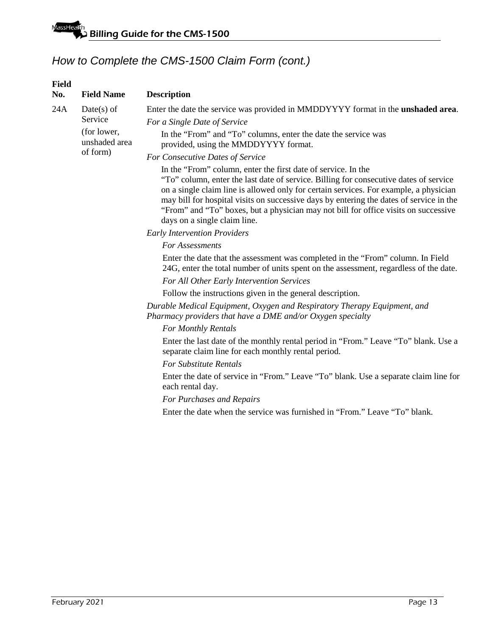| <b>Field</b><br>No. | <b>Field Name</b>            | <b>Description</b>                                                                                                                                                                                                                                                                                                                                                                                                                                                |
|---------------------|------------------------------|-------------------------------------------------------------------------------------------------------------------------------------------------------------------------------------------------------------------------------------------------------------------------------------------------------------------------------------------------------------------------------------------------------------------------------------------------------------------|
| 24A                 | $Date(s)$ of                 | Enter the date the service was provided in MMDDYYYY format in the <b>unshaded area</b> .                                                                                                                                                                                                                                                                                                                                                                          |
|                     | Service                      | For a Single Date of Service                                                                                                                                                                                                                                                                                                                                                                                                                                      |
|                     | (for lower,<br>unshaded area | In the "From" and "To" columns, enter the date the service was<br>provided, using the MMDDYYYY format.                                                                                                                                                                                                                                                                                                                                                            |
|                     | of form)                     | For Consecutive Dates of Service                                                                                                                                                                                                                                                                                                                                                                                                                                  |
|                     |                              | In the "From" column, enter the first date of service. In the<br>"To" column, enter the last date of service. Billing for consecutive dates of service<br>on a single claim line is allowed only for certain services. For example, a physician<br>may bill for hospital visits on successive days by entering the dates of service in the<br>"From" and "To" boxes, but a physician may not bill for office visits on successive<br>days on a single claim line. |
|                     |                              | <b>Early Intervention Providers</b>                                                                                                                                                                                                                                                                                                                                                                                                                               |
|                     |                              | For Assessments                                                                                                                                                                                                                                                                                                                                                                                                                                                   |
|                     |                              | Enter the date that the assessment was completed in the "From" column. In Field<br>24G, enter the total number of units spent on the assessment, regardless of the date.                                                                                                                                                                                                                                                                                          |
|                     |                              | For All Other Early Intervention Services                                                                                                                                                                                                                                                                                                                                                                                                                         |
|                     |                              | Follow the instructions given in the general description.                                                                                                                                                                                                                                                                                                                                                                                                         |
|                     |                              | Durable Medical Equipment, Oxygen and Respiratory Therapy Equipment, and<br>Pharmacy providers that have a DME and/or Oxygen specialty                                                                                                                                                                                                                                                                                                                            |
|                     |                              | For Monthly Rentals                                                                                                                                                                                                                                                                                                                                                                                                                                               |
|                     |                              | Enter the last date of the monthly rental period in "From." Leave "To" blank. Use a<br>separate claim line for each monthly rental period.                                                                                                                                                                                                                                                                                                                        |
|                     |                              | <b>For Substitute Rentals</b>                                                                                                                                                                                                                                                                                                                                                                                                                                     |
|                     |                              | Enter the date of service in "From." Leave "To" blank. Use a separate claim line for<br>each rental day.                                                                                                                                                                                                                                                                                                                                                          |
|                     |                              | For Purchases and Repairs                                                                                                                                                                                                                                                                                                                                                                                                                                         |
|                     |                              | Enter the date when the service was furnished in "From." Leave "To" blank.                                                                                                                                                                                                                                                                                                                                                                                        |
|                     |                              |                                                                                                                                                                                                                                                                                                                                                                                                                                                                   |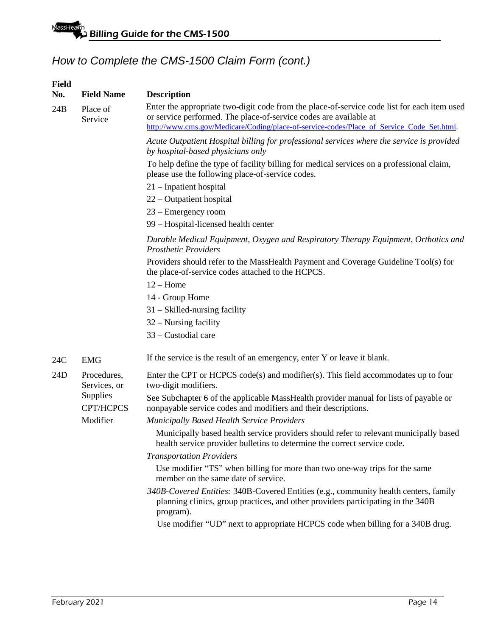| <b>Field</b><br>No. | <b>Field Name</b>           | <b>Description</b>                                                                                                                                                                                                                                            |  |  |  |  |  |  |  |  |
|---------------------|-----------------------------|---------------------------------------------------------------------------------------------------------------------------------------------------------------------------------------------------------------------------------------------------------------|--|--|--|--|--|--|--|--|
| 24B                 | Place of<br>Service         | Enter the appropriate two-digit code from the place-of-service code list for each item used<br>or service performed. The place-of-service codes are available at<br>http://www.cms.gov/Medicare/Coding/place-of-service-codes/Place_of_Service_Code_Set.html. |  |  |  |  |  |  |  |  |
|                     |                             | Acute Outpatient Hospital billing for professional services where the service is provided<br>by hospital-based physicians only                                                                                                                                |  |  |  |  |  |  |  |  |
|                     |                             | To help define the type of facility billing for medical services on a professional claim,<br>please use the following place-of-service codes.                                                                                                                 |  |  |  |  |  |  |  |  |
|                     |                             | 21 – Inpatient hospital                                                                                                                                                                                                                                       |  |  |  |  |  |  |  |  |
|                     |                             | 22 – Outpatient hospital                                                                                                                                                                                                                                      |  |  |  |  |  |  |  |  |
|                     |                             | 23 – Emergency room                                                                                                                                                                                                                                           |  |  |  |  |  |  |  |  |
|                     |                             | 99 – Hospital-licensed health center                                                                                                                                                                                                                          |  |  |  |  |  |  |  |  |
|                     |                             | Durable Medical Equipment, Oxygen and Respiratory Therapy Equipment, Orthotics and<br><b>Prosthetic Providers</b>                                                                                                                                             |  |  |  |  |  |  |  |  |
|                     |                             | Providers should refer to the MassHealth Payment and Coverage Guideline Tool(s) for<br>the place-of-service codes attached to the HCPCS.                                                                                                                      |  |  |  |  |  |  |  |  |
|                     |                             | $12 -$ Home                                                                                                                                                                                                                                                   |  |  |  |  |  |  |  |  |
|                     |                             | 14 - Group Home                                                                                                                                                                                                                                               |  |  |  |  |  |  |  |  |
|                     |                             | $31 - Skilled-nursing facility$                                                                                                                                                                                                                               |  |  |  |  |  |  |  |  |
|                     |                             | $32 -$ Nursing facility                                                                                                                                                                                                                                       |  |  |  |  |  |  |  |  |
|                     |                             | 33 - Custodial care                                                                                                                                                                                                                                           |  |  |  |  |  |  |  |  |
| 24C                 | <b>EMG</b>                  | If the service is the result of an emergency, enter Y or leave it blank.                                                                                                                                                                                      |  |  |  |  |  |  |  |  |
| 24D                 | Procedures,<br>Services, or | Enter the CPT or HCPCS code(s) and modifier(s). This field accommodates up to four<br>two-digit modifiers.                                                                                                                                                    |  |  |  |  |  |  |  |  |
|                     | Supplies<br>CPT/HCPCS       | See Subchapter 6 of the applicable MassHealth provider manual for lists of payable or<br>nonpayable service codes and modifiers and their descriptions.                                                                                                       |  |  |  |  |  |  |  |  |
|                     | Modifier                    | <b>Municipally Based Health Service Providers</b>                                                                                                                                                                                                             |  |  |  |  |  |  |  |  |
|                     |                             | Municipally based health service providers should refer to relevant municipally based<br>health service provider bulletins to determine the correct service code.                                                                                             |  |  |  |  |  |  |  |  |
|                     |                             | <b>Transportation Providers</b>                                                                                                                                                                                                                               |  |  |  |  |  |  |  |  |
|                     |                             | Use modifier "TS" when billing for more than two one-way trips for the same<br>member on the same date of service.                                                                                                                                            |  |  |  |  |  |  |  |  |
|                     |                             | 340B-Covered Entities: 340B-Covered Entities (e.g., community health centers, family<br>planning clinics, group practices, and other providers participating in the 340B<br>program).                                                                         |  |  |  |  |  |  |  |  |
|                     |                             | Use modifier "UD" next to appropriate HCPCS code when billing for a 340B drug.                                                                                                                                                                                |  |  |  |  |  |  |  |  |
|                     |                             |                                                                                                                                                                                                                                                               |  |  |  |  |  |  |  |  |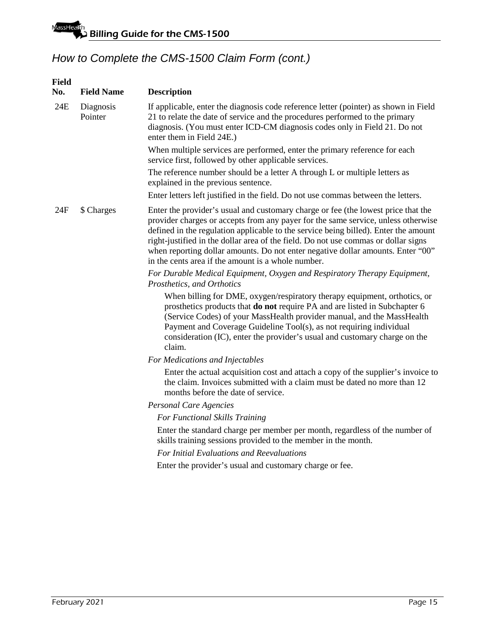| <b>Field</b><br>No. | <b>Field Name</b>    | <b>Description</b>                                                                                                                                                                                                                                                                                                                                                                                                                                                                           |
|---------------------|----------------------|----------------------------------------------------------------------------------------------------------------------------------------------------------------------------------------------------------------------------------------------------------------------------------------------------------------------------------------------------------------------------------------------------------------------------------------------------------------------------------------------|
| 24E                 | Diagnosis<br>Pointer | If applicable, enter the diagnosis code reference letter (pointer) as shown in Field<br>21 to relate the date of service and the procedures performed to the primary<br>diagnosis. (You must enter ICD-CM diagnosis codes only in Field 21. Do not<br>enter them in Field 24E.)                                                                                                                                                                                                              |
|                     |                      | When multiple services are performed, enter the primary reference for each<br>service first, followed by other applicable services.                                                                                                                                                                                                                                                                                                                                                          |
|                     |                      | The reference number should be a letter A through L or multiple letters as<br>explained in the previous sentence.                                                                                                                                                                                                                                                                                                                                                                            |
|                     |                      | Enter letters left justified in the field. Do not use commas between the letters.                                                                                                                                                                                                                                                                                                                                                                                                            |
| 24F                 | \$ Charges           | Enter the provider's usual and customary charge or fee (the lowest price that the<br>provider charges or accepts from any payer for the same service, unless otherwise<br>defined in the regulation applicable to the service being billed). Enter the amount<br>right-justified in the dollar area of the field. Do not use commas or dollar signs<br>when reporting dollar amounts. Do not enter negative dollar amounts. Enter "00"<br>in the cents area if the amount is a whole number. |
|                     |                      | For Durable Medical Equipment, Oxygen and Respiratory Therapy Equipment,<br>Prosthetics, and Orthotics                                                                                                                                                                                                                                                                                                                                                                                       |
|                     |                      | When billing for DME, oxygen/respiratory therapy equipment, orthotics, or<br>prosthetics products that <b>do not</b> require PA and are listed in Subchapter 6<br>(Service Codes) of your MassHealth provider manual, and the MassHealth<br>Payment and Coverage Guideline Tool(s), as not requiring individual<br>consideration (IC), enter the provider's usual and customary charge on the<br>claim.                                                                                      |
|                     |                      | For Medications and Injectables                                                                                                                                                                                                                                                                                                                                                                                                                                                              |
|                     |                      | Enter the actual acquisition cost and attach a copy of the supplier's invoice to<br>the claim. Invoices submitted with a claim must be dated no more than 12<br>months before the date of service.                                                                                                                                                                                                                                                                                           |
|                     |                      | Personal Care Agencies                                                                                                                                                                                                                                                                                                                                                                                                                                                                       |
|                     |                      | For Functional Skills Training                                                                                                                                                                                                                                                                                                                                                                                                                                                               |
|                     |                      | Enter the standard charge per member per month, regardless of the number of<br>skills training sessions provided to the member in the month.                                                                                                                                                                                                                                                                                                                                                 |
|                     |                      | For Initial Evaluations and Reevaluations                                                                                                                                                                                                                                                                                                                                                                                                                                                    |
|                     |                      | Enter the provider's usual and customary charge or fee.                                                                                                                                                                                                                                                                                                                                                                                                                                      |
|                     |                      |                                                                                                                                                                                                                                                                                                                                                                                                                                                                                              |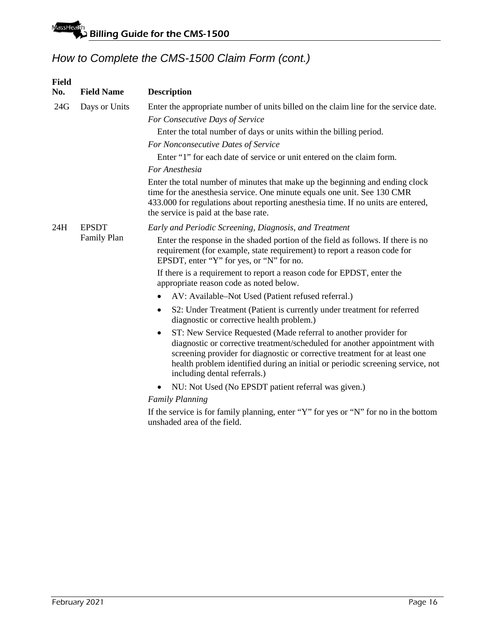| <b>Field</b><br>No. | <b>Field Name</b> | <b>Description</b>                                                                                                                                                                                                                                                                                                                                         |
|---------------------|-------------------|------------------------------------------------------------------------------------------------------------------------------------------------------------------------------------------------------------------------------------------------------------------------------------------------------------------------------------------------------------|
| 24G                 | Days or Units     | Enter the appropriate number of units billed on the claim line for the service date.                                                                                                                                                                                                                                                                       |
|                     |                   | For Consecutive Days of Service                                                                                                                                                                                                                                                                                                                            |
|                     |                   | Enter the total number of days or units within the billing period.                                                                                                                                                                                                                                                                                         |
|                     |                   | For Nonconsecutive Dates of Service                                                                                                                                                                                                                                                                                                                        |
|                     |                   | Enter "1" for each date of service or unit entered on the claim form.                                                                                                                                                                                                                                                                                      |
|                     |                   | For Anesthesia                                                                                                                                                                                                                                                                                                                                             |
|                     |                   | Enter the total number of minutes that make up the beginning and ending clock<br>time for the anesthesia service. One minute equals one unit. See 130 CMR<br>433.000 for regulations about reporting anesthesia time. If no units are entered,<br>the service is paid at the base rate.                                                                    |
| 24H                 | <b>EPSDT</b>      | Early and Periodic Screening, Diagnosis, and Treatment                                                                                                                                                                                                                                                                                                     |
|                     | Family Plan       | Enter the response in the shaded portion of the field as follows. If there is no<br>requirement (for example, state requirement) to report a reason code for<br>EPSDT, enter "Y" for yes, or "N" for no.                                                                                                                                                   |
|                     |                   | If there is a requirement to report a reason code for EPDST, enter the<br>appropriate reason code as noted below.                                                                                                                                                                                                                                          |
|                     |                   | AV: Available-Not Used (Patient refused referral.)<br>$\bullet$                                                                                                                                                                                                                                                                                            |
|                     |                   | S2: Under Treatment (Patient is currently under treatment for referred<br>٠<br>diagnostic or corrective health problem.)                                                                                                                                                                                                                                   |
|                     |                   | ST: New Service Requested (Made referral to another provider for<br>$\bullet$<br>diagnostic or corrective treatment/scheduled for another appointment with<br>screening provider for diagnostic or corrective treatment for at least one<br>health problem identified during an initial or periodic screening service, not<br>including dental referrals.) |
|                     |                   | NU: Not Used (No EPSDT patient referral was given.)<br>$\bullet$                                                                                                                                                                                                                                                                                           |
|                     |                   | <b>Family Planning</b>                                                                                                                                                                                                                                                                                                                                     |
|                     |                   | If the service is for family planning, enter "Y" for yes or "N" for no in the bottom<br>unshaded area of the field.                                                                                                                                                                                                                                        |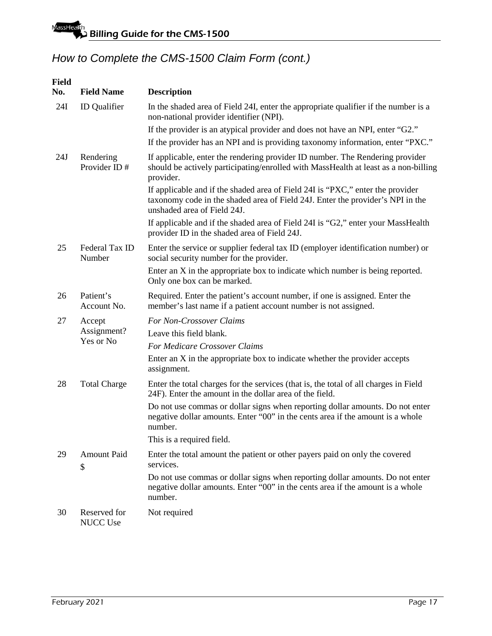| <b>Field</b><br>No. | <b>Field Name</b>         | <b>Description</b>                                                                                                                                                                              |
|---------------------|---------------------------|-------------------------------------------------------------------------------------------------------------------------------------------------------------------------------------------------|
| 24I                 | <b>ID</b> Qualifier       | In the shaded area of Field 24I, enter the appropriate qualifier if the number is a<br>non-national provider identifier (NPI).                                                                  |
|                     |                           | If the provider is an atypical provider and does not have an NPI, enter "G2."                                                                                                                   |
|                     |                           | If the provider has an NPI and is providing taxonomy information, enter "PXC."                                                                                                                  |
| 24J                 | Rendering<br>Provider ID# | If applicable, enter the rendering provider ID number. The Rendering provider<br>should be actively participating/enrolled with MassHealth at least as a non-billing<br>provider.               |
|                     |                           | If applicable and if the shaded area of Field 24I is "PXC," enter the provider<br>taxonomy code in the shaded area of Field 24J. Enter the provider's NPI in the<br>unshaded area of Field 24J. |
|                     |                           | If applicable and if the shaded area of Field 24I is "G2," enter your MassHealth<br>provider ID in the shaded area of Field 24J.                                                                |
| 25                  | Federal Tax ID<br>Number  | Enter the service or supplier federal tax ID (employer identification number) or<br>social security number for the provider.                                                                    |
|                     |                           | Enter an X in the appropriate box to indicate which number is being reported.<br>Only one box can be marked.                                                                                    |
| 26                  | Patient's<br>Account No.  | Required. Enter the patient's account number, if one is assigned. Enter the<br>member's last name if a patient account number is not assigned.                                                  |
| 27                  | Accept                    | For Non-Crossover Claims                                                                                                                                                                        |
|                     | Assignment?               | Leave this field blank.                                                                                                                                                                         |
|                     | Yes or No                 | For Medicare Crossover Claims                                                                                                                                                                   |
|                     |                           | Enter an X in the appropriate box to indicate whether the provider accepts<br>assignment.                                                                                                       |
| 28                  | <b>Total Charge</b>       | Enter the total charges for the services (that is, the total of all charges in Field<br>24F). Enter the amount in the dollar area of the field.                                                 |
|                     |                           | Do not use commas or dollar signs when reporting dollar amounts. Do not enter<br>negative dollar amounts. Enter "00" in the cents area if the amount is a whole<br>number.                      |
|                     |                           | This is a required field.                                                                                                                                                                       |
| 29                  | Amount Paid<br>\$         | Enter the total amount the patient or other payers paid on only the covered<br>services.                                                                                                        |
|                     |                           | Do not use commas or dollar signs when reporting dollar amounts. Do not enter<br>negative dollar amounts. Enter "00" in the cents area if the amount is a whole<br>number.                      |
| 30                  | Reserved for<br>NUCC Use  | Not required                                                                                                                                                                                    |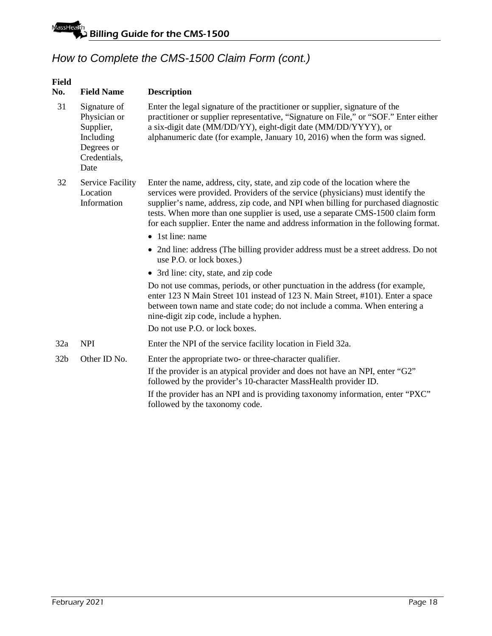| Field<br>No.    | <b>Field Name</b>                                                                            | <b>Description</b>                                                                                                                                                                                                                                                                                                                                                                                                           |
|-----------------|----------------------------------------------------------------------------------------------|------------------------------------------------------------------------------------------------------------------------------------------------------------------------------------------------------------------------------------------------------------------------------------------------------------------------------------------------------------------------------------------------------------------------------|
| 31              | Signature of<br>Physician or<br>Supplier,<br>Including<br>Degrees or<br>Credentials,<br>Date | Enter the legal signature of the practitioner or supplier, signature of the<br>practitioner or supplier representative, "Signature on File," or "SOF." Enter either<br>a six-digit date (MM/DD/YY), eight-digit date (MM/DD/YYYY), or<br>alphanumeric date (for example, January 10, 2016) when the form was signed.                                                                                                         |
| 32              | <b>Service Facility</b><br>Location<br>Information                                           | Enter the name, address, city, state, and zip code of the location where the<br>services were provided. Providers of the service (physicians) must identify the<br>supplier's name, address, zip code, and NPI when billing for purchased diagnostic<br>tests. When more than one supplier is used, use a separate CMS-1500 claim form<br>for each supplier. Enter the name and address information in the following format. |
|                 |                                                                                              | • 1st line: name                                                                                                                                                                                                                                                                                                                                                                                                             |
|                 |                                                                                              | • 2nd line: address (The billing provider address must be a street address. Do not<br>use P.O. or lock boxes.)                                                                                                                                                                                                                                                                                                               |
|                 |                                                                                              | • 3rd line: city, state, and zip code                                                                                                                                                                                                                                                                                                                                                                                        |
|                 |                                                                                              | Do not use commas, periods, or other punctuation in the address (for example,<br>enter 123 N Main Street 101 instead of 123 N. Main Street, #101). Enter a space<br>between town name and state code; do not include a comma. When entering a<br>nine-digit zip code, include a hyphen.                                                                                                                                      |
|                 |                                                                                              | Do not use P.O. or lock boxes.                                                                                                                                                                                                                                                                                                                                                                                               |
| 32a             | <b>NPI</b>                                                                                   | Enter the NPI of the service facility location in Field 32a.                                                                                                                                                                                                                                                                                                                                                                 |
| 32 <sub>b</sub> | Other ID No.                                                                                 | Enter the appropriate two- or three-character qualifier.                                                                                                                                                                                                                                                                                                                                                                     |
|                 |                                                                                              | If the provider is an atypical provider and does not have an NPI, enter "G2"<br>followed by the provider's 10-character MassHealth provider ID.                                                                                                                                                                                                                                                                              |
|                 |                                                                                              | If the provider has an NPI and is providing taxonomy information, enter "PXC"<br>followed by the taxonomy code.                                                                                                                                                                                                                                                                                                              |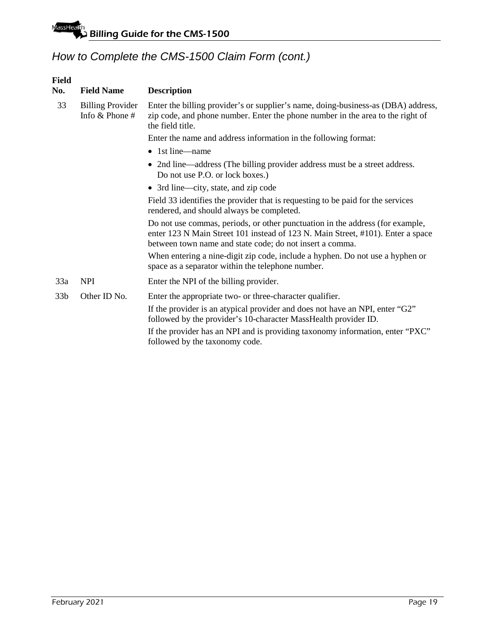| Field<br>No.    | <b>Field Name</b>                             | <b>Description</b>                                                                                                                                                                                                           |
|-----------------|-----------------------------------------------|------------------------------------------------------------------------------------------------------------------------------------------------------------------------------------------------------------------------------|
| 33              | <b>Billing Provider</b><br>Info $&$ Phone $#$ | Enter the billing provider's or supplier's name, doing-business-as (DBA) address,<br>zip code, and phone number. Enter the phone number in the area to the right of<br>the field title.                                      |
|                 |                                               | Enter the name and address information in the following format:                                                                                                                                                              |
|                 |                                               | $\bullet$ 1st line—name                                                                                                                                                                                                      |
|                 |                                               | • 2nd line—address (The billing provider address must be a street address.<br>Do not use P.O. or lock boxes.)                                                                                                                |
|                 |                                               | • 3rd line—city, state, and zip code                                                                                                                                                                                         |
|                 |                                               | Field 33 identifies the provider that is requesting to be paid for the services<br>rendered, and should always be completed.                                                                                                 |
|                 |                                               | Do not use commas, periods, or other punctuation in the address (for example,<br>enter 123 N Main Street 101 instead of 123 N. Main Street, #101). Enter a space<br>between town name and state code; do not insert a comma. |
|                 |                                               | When entering a nine-digit zip code, include a hyphen. Do not use a hyphen or<br>space as a separator within the telephone number.                                                                                           |
| 33a             | <b>NPI</b>                                    | Enter the NPI of the billing provider.                                                                                                                                                                                       |
| 33 <sub>b</sub> | Other ID No.                                  | Enter the appropriate two- or three-character qualifier.                                                                                                                                                                     |
|                 |                                               | If the provider is an atypical provider and does not have an NPI, enter "G2"<br>followed by the provider's 10-character MassHealth provider ID.                                                                              |
|                 |                                               | If the provider has an NPI and is providing taxonomy information, enter "PXC"<br>followed by the taxonomy code.                                                                                                              |
|                 |                                               |                                                                                                                                                                                                                              |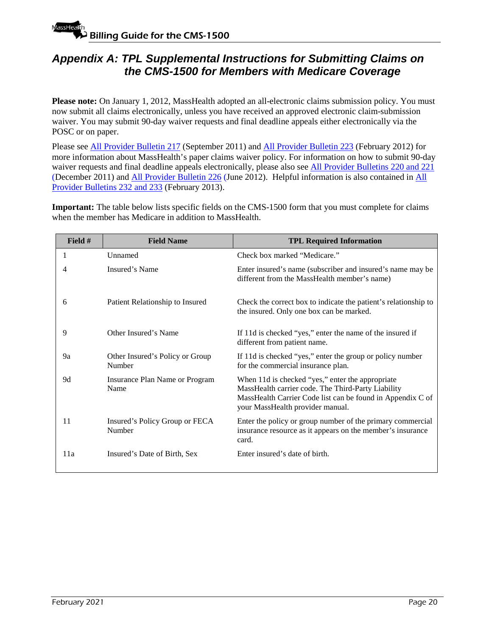## <span id="page-21-0"></span>*Appendix A: TPL Supplemental Instructions for Submitting Claims on the CMS-1500 for Members with Medicare Coverage*

**Please note:** On January 1, 2012, MassHealth adopted an all-electronic claims submission policy. You must now submit all claims electronically, unless you have received an approved electronic claim-submission waiver. You may submit 90-day waiver requests and final deadline appeals either electronically via the POSC or on paper.

Please see [All Provider Bulletin 217](https://www.mass.gov/lists/all-provider-bulletins) (September 2011) and [All Provider Bulletin 223](https://www.mass.gov/lists/all-provider-bulletins) (February 2012) for more information about MassHealth's paper claims waiver policy. For information on how to submit 90-day waiver requests and final deadline appeals electronically, please also see [All Provider Bulletins 220 and 221](https://www.mass.gov/lists/all-provider-bulletins) (December 2011) and [All Provider Bulletin 226](https://www.mass.gov/lists/all-provider-bulletins) (June 2012). Helpful information is also contained in [All](https://www.mass.gov/lists/all-provider-bulletins)  [Provider Bulletins 232 and 233](https://www.mass.gov/lists/all-provider-bulletins) (February 2013).

**Important:** The table below lists specific fields on the CMS-1500 form that you must complete for claims when the member has Medicare in addition to MassHealth.

| Field # | <b>Field Name</b>                         | <b>TPL Required Information</b>                                                                                                                                                                          |
|---------|-------------------------------------------|----------------------------------------------------------------------------------------------------------------------------------------------------------------------------------------------------------|
| 1       | Unnamed                                   | Check box marked "Medicare."                                                                                                                                                                             |
|         | Insured's Name                            | Enter insured's name (subscriber and insured's name may be<br>different from the MassHealth member's name)                                                                                               |
| 6       | Patient Relationship to Insured           | Check the correct box to indicate the patient's relationship to<br>the insured. Only one box can be marked.                                                                                              |
| 9       | Other Insured's Name                      | If 11d is checked "yes," enter the name of the insured if<br>different from patient name.                                                                                                                |
| 9a      | Other Insured's Policy or Group<br>Number | If 11d is checked "yes," enter the group or policy number<br>for the commercial insurance plan.                                                                                                          |
| 9d      | Insurance Plan Name or Program<br>Name    | When 11d is checked "yes," enter the appropriate<br>MassHealth carrier code. The Third-Party Liability<br>MassHealth Carrier Code list can be found in Appendix C of<br>your MassHealth provider manual. |
| 11      | Insured's Policy Group or FECA<br>Number  | Enter the policy or group number of the primary commercial<br>insurance resource as it appears on the member's insurance<br>card.                                                                        |
| 11a     | Insured's Date of Birth, Sex              | Enter insured's date of birth.                                                                                                                                                                           |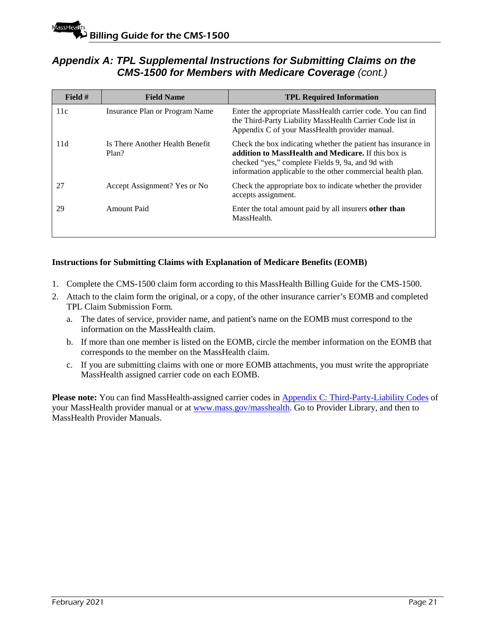### *Appendix A: TPL Supplemental Instructions for Submitting Claims on the CMS-1500 for Members with Medicare Coverage (cont.)*

| Field $#$ | <b>Field Name</b>                        | <b>TPL Required Information</b>                                                                                                                                                                                                          |
|-----------|------------------------------------------|------------------------------------------------------------------------------------------------------------------------------------------------------------------------------------------------------------------------------------------|
| 11c       | Insurance Plan or Program Name           | Enter the appropriate MassHealth carrier code. You can find<br>the Third-Party Liability MassHealth Carrier Code list in<br>Appendix C of your MassHealth provider manual.                                                               |
| 11d       | Is There Another Health Benefit<br>Plan? | Check the box indicating whether the patient has insurance in<br>addition to MassHealth and Medicare. If this box is<br>checked "yes," complete Fields 9, 9a, and 9d with<br>information applicable to the other commercial health plan. |
| 27        | Accept Assignment? Yes or No             | Check the appropriate box to indicate whether the provider<br>accepts assignment.                                                                                                                                                        |
| 29        | Amount Paid                              | Enter the total amount paid by all insurers other than<br>MassHealth.                                                                                                                                                                    |

### **Instructions for Submitting Claims with Explanation of Medicare Benefits (EOMB)**

- 1. Complete the CMS-1500 claim form according to this MassHealth Billing Guide for the CMS-1500.
- 2. Attach to the claim form the original, or a copy, of the other insurance carrier's EOMB and completed TPL Claim Submission Form.
	- a. The dates of service, provider name, and patient's name on the EOMB must correspond to the information on the MassHealth claim.
	- b. If more than one member is listed on the EOMB, circle the member information on the EOMB that corresponds to the member on the MassHealth claim.
	- c. If you are submitting claims with one or more EOMB attachments, you must write the appropriate MassHealth assigned carrier code on each EOMB.

Please note: You can find MassHealth-assigned carrier codes in [Appendix C: Third-Party-Liability Codes](https://www.mass.gov/guides/masshealth-all-provider-manual-appendices) of your MassHealth provider manual or at [www.mass.gov/masshealth.](http://www.mass.gov/masshealth) Go to Provider Library, and then to MassHealth Provider Manuals.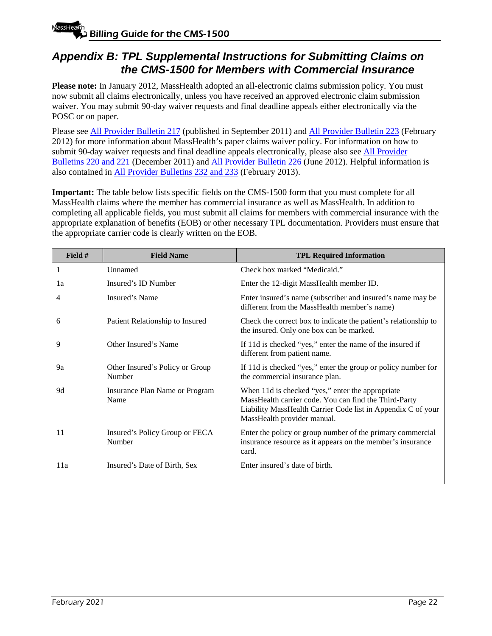# <span id="page-23-0"></span>*Appendix B: TPL Supplemental Instructions for Submitting Claims on the CMS-1500 for Members with Commercial Insurance*

**Please note:** In January 2012, MassHealth adopted an all-electronic claims submission policy. You must now submit all claims electronically, unless you have received an approved electronic claim submission waiver. You may submit 90-day waiver requests and final deadline appeals either electronically via the POSC or on paper.

Please see [All Provider Bulletin 217](https://www.mass.gov/lists/all-provider-bulletins) (published in September 2011) and [All Provider Bulletin 223](https://www.mass.gov/lists/all-provider-bulletins) (February 2012) for more information about MassHealth's paper claims waiver policy. For information on how to submit 90-day waiver requests and final deadline appeals electronically, please also see [All Provider](https://www.mass.gov/lists/all-provider-bulletins)  [Bulletins 220 and 221](https://www.mass.gov/lists/all-provider-bulletins) (December 2011) and [All Provider Bulletin 226](https://www.mass.gov/lists/all-provider-bulletins) (June 2012). Helpful information is also contained in [All Provider Bulletins 232 and 233](https://www.mass.gov/lists/all-provider-bulletins) (February 2013).

**Important:** The table below lists specific fields on the CMS-1500 form that you must complete for all MassHealth claims where the member has commercial insurance as well as MassHealth. In addition to completing all applicable fields, you must submit all claims for members with commercial insurance with the appropriate explanation of benefits (EOB) or other necessary TPL documentation. Providers must ensure that the appropriate carrier code is clearly written on the EOB.

| Field # | <b>Field Name</b>                         | <b>TPL Required Information</b>                                                                                                                                                                          |
|---------|-------------------------------------------|----------------------------------------------------------------------------------------------------------------------------------------------------------------------------------------------------------|
| 1       | Unnamed                                   | Check box marked "Medicaid."                                                                                                                                                                             |
| 1a      | Insured's ID Number                       | Enter the 12-digit MassHealth member ID.                                                                                                                                                                 |
| 4       | Insured's Name                            | Enter insured's name (subscriber and insured's name may be<br>different from the MassHealth member's name)                                                                                               |
| 6       | Patient Relationship to Insured           | Check the correct box to indicate the patient's relationship to<br>the insured. Only one box can be marked.                                                                                              |
| 9       | Other Insured's Name                      | If 11d is checked "yes," enter the name of the insured if<br>different from patient name.                                                                                                                |
| 9a      | Other Insured's Policy or Group<br>Number | If 11d is checked "yes," enter the group or policy number for<br>the commercial insurance plan.                                                                                                          |
| 9d      | Insurance Plan Name or Program<br>Name    | When 11d is checked "yes," enter the appropriate<br>MassHealth carrier code. You can find the Third-Party<br>Liability MassHealth Carrier Code list in Appendix C of your<br>MassHealth provider manual. |
| 11      | Insured's Policy Group or FECA<br>Number  | Enter the policy or group number of the primary commercial<br>insurance resource as it appears on the member's insurance<br>card.                                                                        |
| 11a     | Insured's Date of Birth, Sex              | Enter insured's date of birth.                                                                                                                                                                           |